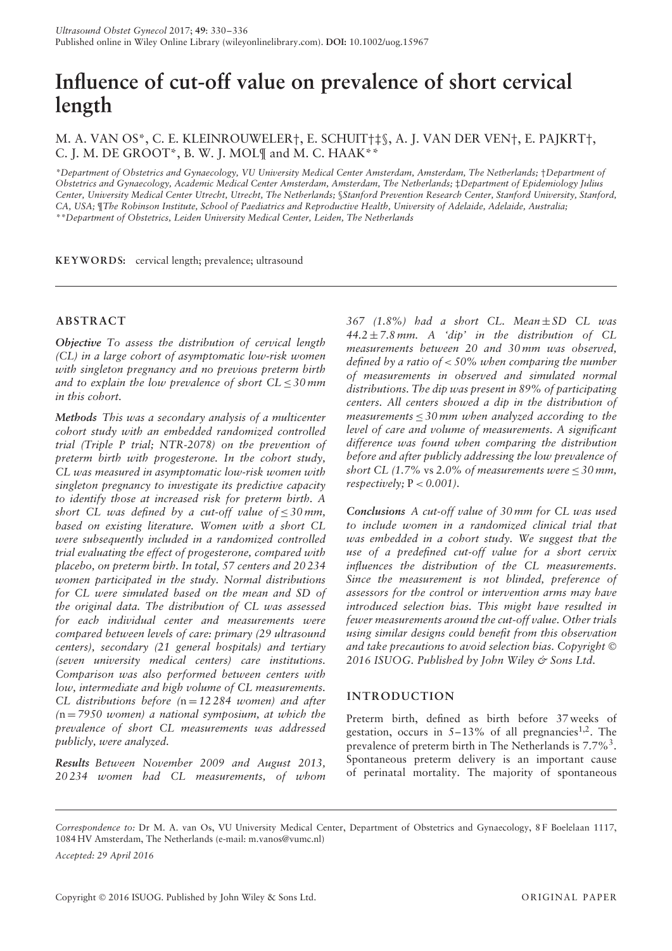# **Influence of cut-off value on prevalence of short cervical length**

M. A. VAN OS\*, C. E. KLEINROUWELER†, E. SCHUIT†‡§, A. J. VAN DER VEN†, E. PAJKRT†, C. J. M. DE GROOT\*, B. W. J. MOL¶ and M. C. HAAK\*\*

*\*Department of Obstetrics and Gynaecology, VU University Medical Center Amsterdam, Amsterdam, The Netherlands;* †*Department of Obstetrics and Gynaecology, Academic Medical Center Amsterdam, Amsterdam, The Netherlands;* ‡*Department of Epidemiology Julius Center, University Medical Center Utrecht, Utrecht, The Netherlands;* §*Stanford Prevention Research Center, Stanford University, Stanford, CA, USA;* ¶*The Robinson Institute, School of Paediatrics and Reproductive Health, University of Adelaide, Adelaide, Australia; \*\*Department of Obstetrics, Leiden University Medical Center, Leiden, The Netherlands*

KEYWORDS: cervical length; prevalence; ultrasound

## **ABSTRACT**

*Objective To assess the distribution of cervical length (CL) in a large cohort of asymptomatic low-risk women with singleton pregnancy and no previous preterm birth and to explain the low prevalence of short CL*  $\leq$  30 *mm in this cohort.*

*Methods This was a secondary analysis of a multicenter cohort study with an embedded randomized controlled trial (Triple P trial; NTR-2078) on the prevention of preterm birth with progesterone. In the cohort study, CL was measured in asymptomatic low-risk women with singleton pregnancy to investigate its predictive capacity to identify those at increased risk for preterm birth. A short* CL was defined by a cut-off value of  $\leq 30$  mm, *based on existing literature. Women with a short CL were subsequently included in a randomized controlled trial evaluating the effect of progesterone, compared with placebo, on preterm birth. In total, 57 centers and 20 234 women participated in the study. Normal distributions for CL were simulated based on the mean and SD of the original data. The distribution of CL was assessed for each individual center and measurements were compared between levels of care: primary (29 ultrasound centers), secondary (21 general hospitals) and tertiary (seven university medical centers) care institutions. Comparison was also performed between centers with low, intermediate and high volume of CL measurements. CL distributions before (*n = *12 284 women) and after (*n = *7950 women) a national symposium, at which the prevalence of short CL measurements was addressed publicly, were analyzed.*

*Results Between November 2009 and August 2013, 20 234 women had CL measurements, of whom* *367 (1.8%) had a short CL. Mean* ± *SD CL was 44.2* ± *7.8 mm. A 'dip' in the distribution of CL measurements between 20 and 30 mm was observed, defined by a ratio of < 50% when comparing the number of measurements in observed and simulated normal distributions. The dip was present in 89% of participating centers. All centers showed a dip in the distribution of measurements* ≤ *30 mm when analyzed according to the level of care and volume of measurements. A significant difference was found when comparing the distribution before and after publicly addressing the low prevalence of short CL (1.7% vs 2.0% of measurements were*  $\leq$  30 mm, *respectively*;  $P < 0.001$ ).

*Conclusions A cut-off value of 30 mm for CL was used to include women in a randomized clinical trial that was embedded in a cohort study. We suggest that the use of a predefined cut-off value for a short cervix influences the distribution of the CL measurements. Since the measurement is not blinded, preference of assessors for the control or intervention arms may have introduced selection bias. This might have resulted in fewer measurements around the cut-off value. Other trials using similar designs could benefit from this observation and take precautions to avoid selection bias. Copyright* © *2016 ISUOG. Published by John Wiley & Sons Ltd.*

## **INTRODUCTION**

Preterm birth, defined as birth before 37 weeks of gestation, occurs in  $5-13\%$  of all pregnancies<sup>1,2</sup>. The prevalence of preterm birth in The Netherlands is 7.7%<sup>3</sup>. Spontaneous preterm delivery is an important cause of perinatal mortality. The majority of spontaneous

*Accepted: 29 April 2016*

*Correspondence to:* Dr M. A. van Os, VU University Medical Center, Department of Obstetrics and Gynaecology, 8 F Boelelaan 1117, 1084 HV Amsterdam, The Netherlands (e-mail: m.vanos@vumc.nl)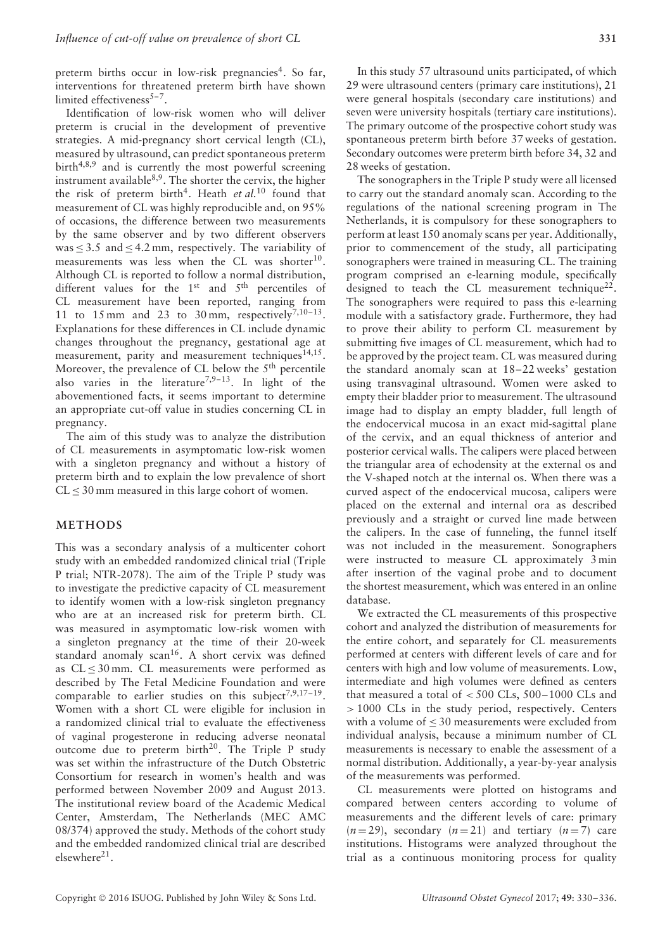preterm births occur in low-risk pregnancies<sup>4</sup>. So far, interventions for threatened preterm birth have shown limited effectiveness $5-7$ .

Identification of low-risk women who will deliver preterm is crucial in the development of preventive strategies. A mid-pregnancy short cervical length (CL), measured by ultrasound, can predict spontaneous preterm birth<sup>4,8,9</sup> and is currently the most powerful screening instrument available $8,9$ . The shorter the cervix, the higher the risk of preterm birth<sup>4</sup>. Heath *et al.*<sup>10</sup> found that measurement of CL was highly reproducible and, on 95% of occasions, the difference between two measurements by the same observer and by two different observers was  $\leq$  3.5 and  $\leq$  4.2 mm, respectively. The variability of measurements was less when the CL was shorter<sup>10</sup>. Although CL is reported to follow a normal distribution, different values for the  $1<sup>st</sup>$  and  $5<sup>th</sup>$  percentiles of CL measurement have been reported, ranging from 11 to 15 mm and 23 to 30 mm, respectively<sup>7,10-13</sup>. Explanations for these differences in CL include dynamic changes throughout the pregnancy, gestational age at measurement, parity and measurement techniques $14,15$ . Moreover, the prevalence of CL below the 5<sup>th</sup> percentile also varies in the literature<sup>7,9-13</sup>. In light of the abovementioned facts, it seems important to determine an appropriate cut-off value in studies concerning CL in pregnancy.

The aim of this study was to analyze the distribution of CL measurements in asymptomatic low-risk women with a singleton pregnancy and without a history of preterm birth and to explain the low prevalence of short  $CL < 30$  mm measured in this large cohort of women.

#### **METHODS**

This was a secondary analysis of a multicenter cohort study with an embedded randomized clinical trial (Triple P trial; NTR-2078). The aim of the Triple P study was to investigate the predictive capacity of CL measurement to identify women with a low-risk singleton pregnancy who are at an increased risk for preterm birth. CL was measured in asymptomatic low-risk women with a singleton pregnancy at the time of their 20-week standard anomaly scan<sup>16</sup>. A short cervix was defined as CL ≤ 30 mm. CL measurements were performed as described by The Fetal Medicine Foundation and were comparable to earlier studies on this subject<sup>7,9,17-19</sup>. Women with a short CL were eligible for inclusion in a randomized clinical trial to evaluate the effectiveness of vaginal progesterone in reducing adverse neonatal outcome due to preterm birth<sup>20</sup>. The Triple P study was set within the infrastructure of the Dutch Obstetric Consortium for research in women's health and was performed between November 2009 and August 2013. The institutional review board of the Academic Medical Center, Amsterdam, The Netherlands (MEC AMC 08/374) approved the study. Methods of the cohort study and the embedded randomized clinical trial are described elsewhere $^{21}$ .

In this study 57 ultrasound units participated, of which 29 were ultrasound centers (primary care institutions), 21 were general hospitals (secondary care institutions) and seven were university hospitals (tertiary care institutions). The primary outcome of the prospective cohort study was spontaneous preterm birth before 37 weeks of gestation. Secondary outcomes were preterm birth before 34, 32 and 28 weeks of gestation.

The sonographers in the Triple P study were all licensed to carry out the standard anomaly scan. According to the regulations of the national screening program in The Netherlands, it is compulsory for these sonographers to perform at least 150 anomaly scans per year. Additionally, prior to commencement of the study, all participating sonographers were trained in measuring CL. The training program comprised an e-learning module, specifically designed to teach the CL measurement technique<sup>22</sup>. The sonographers were required to pass this e-learning module with a satisfactory grade. Furthermore, they had to prove their ability to perform CL measurement by submitting five images of CL measurement, which had to be approved by the project team. CL was measured during the standard anomaly scan at 18–22 weeks' gestation using transvaginal ultrasound. Women were asked to empty their bladder prior to measurement. The ultrasound image had to display an empty bladder, full length of the endocervical mucosa in an exact mid-sagittal plane of the cervix, and an equal thickness of anterior and posterior cervical walls. The calipers were placed between the triangular area of echodensity at the external os and the V-shaped notch at the internal os. When there was a curved aspect of the endocervical mucosa, calipers were placed on the external and internal ora as described previously and a straight or curved line made between the calipers. In the case of funneling, the funnel itself was not included in the measurement. Sonographers were instructed to measure CL approximately 3 min after insertion of the vaginal probe and to document the shortest measurement, which was entered in an online database.

We extracted the CL measurements of this prospective cohort and analyzed the distribution of measurements for the entire cohort, and separately for CL measurements performed at centers with different levels of care and for centers with high and low volume of measurements. Low, intermediate and high volumes were defined as centers that measured a total of *<* 500 CLs, 500–1000 CLs and *>* 1000 CLs in the study period, respectively. Centers with a volume of  $\leq$  30 measurements were excluded from individual analysis, because a minimum number of CL measurements is necessary to enable the assessment of a normal distribution. Additionally, a year-by-year analysis of the measurements was performed.

CL measurements were plotted on histograms and compared between centers according to volume of measurements and the different levels of care: primary  $(n=29)$ , secondary  $(n=21)$  and tertiary  $(n=7)$  care institutions. Histograms were analyzed throughout the trial as a continuous monitoring process for quality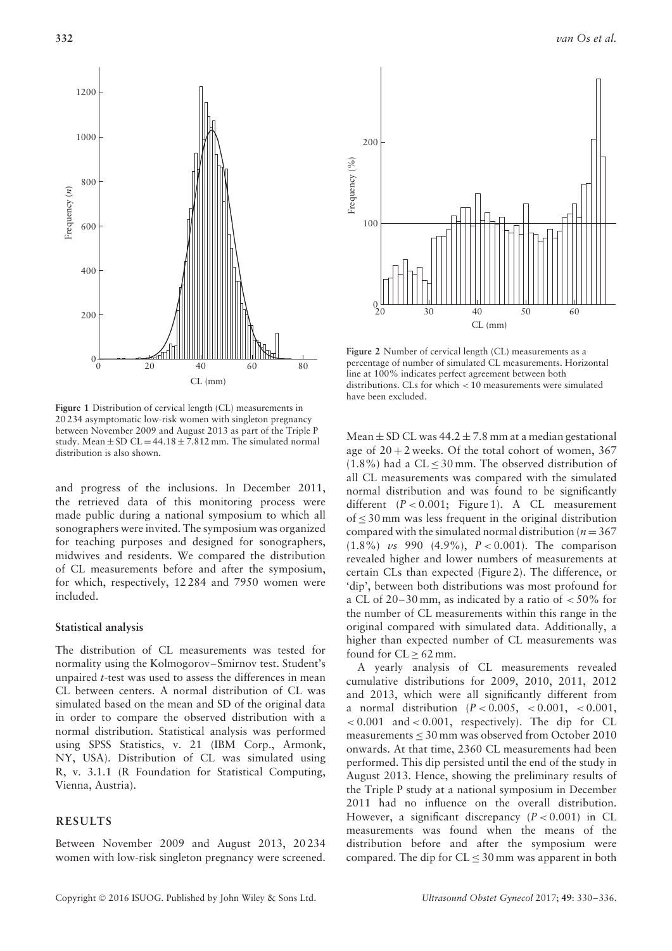



**Figure 2** Number of cervical length (CL) measurements as a percentage of number of simulated CL measurements. Horizontal line at 100% indicates perfect agreement between both distributions. CLs for which *<* 10 measurements were simulated have been excluded.

**Figure 1** Distribution of cervical length (CL) measurements in 20 234 asymptomatic low-risk women with singleton pregnancy between November 2009 and August 2013 as part of the Triple P study. Mean  $\pm$  SD CL = 44.18  $\pm$  7.812 mm. The simulated normal distribution is also shown.

and progress of the inclusions. In December 2011, the retrieved data of this monitoring process were made public during a national symposium to which all sonographers were invited. The symposium was organized for teaching purposes and designed for sonographers, midwives and residents. We compared the distribution of CL measurements before and after the symposium, for which, respectively, 12 284 and 7950 women were included.

#### **Statistical analysis**

The distribution of CL measurements was tested for normality using the Kolmogorov–Smirnov test. Student's unpaired *t*-test was used to assess the differences in mean CL between centers. A normal distribution of CL was simulated based on the mean and SD of the original data in order to compare the observed distribution with a normal distribution. Statistical analysis was performed using SPSS Statistics, v. 21 (IBM Corp., Armonk, NY, USA). Distribution of CL was simulated using R, v. 3.1.1 (R Foundation for Statistical Computing, Vienna, Austria).

## **RESULTS**

Between November 2009 and August 2013, 20 234 women with low-risk singleton pregnancy were screened. Mean  $\pm$  SD CL was 44.2  $\pm$  7.8 mm at a median gestational age of  $20 + 2$  weeks. Of the total cohort of women, 367  $(1.8\%)$  had a CL < 30 mm. The observed distribution of all CL measurements was compared with the simulated normal distribution and was found to be significantly different  $(P < 0.001$ ; Figure 1). A CL measurement of  $\leq$  30 mm was less frequent in the original distribution compared with the simulated normal distribution ( $n = 367$ ) (1.8%) *vs* 990 (4.9%), *P <* 0.001). The comparison revealed higher and lower numbers of measurements at certain CLs than expected (Figure 2). The difference, or 'dip', between both distributions was most profound for a CL of 20–30 mm, as indicated by a ratio of *<* 50% for the number of CL measurements within this range in the original compared with simulated data. Additionally, a higher than expected number of CL measurements was found for  $CL \geq 62$  mm.

A yearly analysis of CL measurements revealed cumulative distributions for 2009, 2010, 2011, 2012 and 2013, which were all significantly different from a normal distribution (*P <* 0.005, *<* 0.001, *<* 0.001, *<* 0.001 and *<* 0.001, respectively). The dip for CL measurements  $\leq 30$  mm was observed from October 2010 onwards. At that time, 2360 CL measurements had been performed. This dip persisted until the end of the study in August 2013. Hence, showing the preliminary results of the Triple P study at a national symposium in December 2011 had no influence on the overall distribution. However, a significant discrepancy  $(P < 0.001)$  in CL measurements was found when the means of the distribution before and after the symposium were compared. The dip for  $CL \leq 30$  mm was apparent in both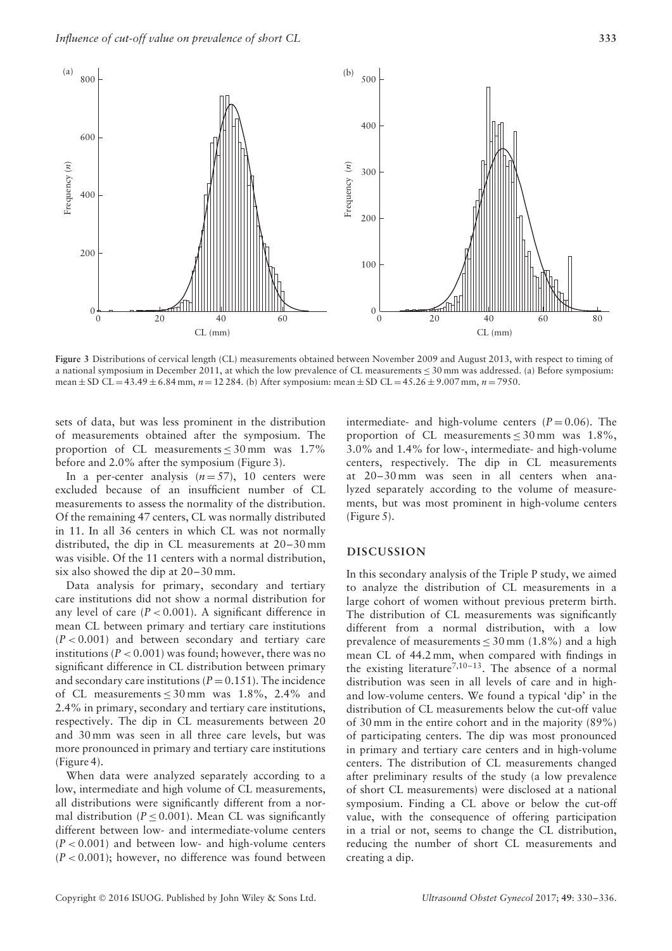

**Figure 3** Distributions of cervical length (CL) measurements obtained between November 2009 and August 2013, with respect to timing of a national symposium in December 2011, at which the low prevalence of CL measurements  $\leq 30$  mm was addressed. (a) Before symposium: mean ± SD CL = 43.49 ± 6.84 mm, *n* = 12 284. (b) After symposium: mean ± SD CL = 45.26 ± 9.007 mm, *n* = 7950.

sets of data, but was less prominent in the distribution of measurements obtained after the symposium. The proportion of CL measurements  $\leq 30$  mm was 1.7% before and 2.0% after the symposium (Figure 3).

In a per-center analysis  $(n=57)$ , 10 centers were excluded because of an insufficient number of CL measurements to assess the normality of the distribution. Of the remaining 47 centers, CL was normally distributed in 11. In all 36 centers in which CL was not normally distributed, the dip in CL measurements at 20–30 mm was visible. Of the 11 centers with a normal distribution, six also showed the dip at 20–30 mm.

Data analysis for primary, secondary and tertiary care institutions did not show a normal distribution for any level of care  $(P < 0.001)$ . A significant difference in mean CL between primary and tertiary care institutions  $(P < 0.001)$  and between secondary and tertiary care institutions ( $P < 0.001$ ) was found; however, there was no significant difference in CL distribution between primary and secondary care institutions ( $P = 0.151$ ). The incidence of CL measurements  $\leq 30$  mm was 1.8%, 2.4% and 2.4% in primary, secondary and tertiary care institutions, respectively. The dip in CL measurements between 20 and 30 mm was seen in all three care levels, but was more pronounced in primary and tertiary care institutions (Figure 4).

When data were analyzed separately according to a low, intermediate and high volume of CL measurements, all distributions were significantly different from a normal distribution ( $P \leq 0.001$ ). Mean CL was significantly different between low- and intermediate-volume centers  $(P < 0.001)$  and between low- and high-volume centers (*P <* 0.001); however, no difference was found between

intermediate- and high-volume centers  $(P = 0.06)$ . The proportion of CL measurements  $\leq 30$  mm was 1.8%, 3.0% and 1.4% for low-, intermediate- and high-volume centers, respectively. The dip in CL measurements at 20–30 mm was seen in all centers when analyzed separately according to the volume of measurements, but was most prominent in high-volume centers (Figure 5).

### **DISCUSSION**

In this secondary analysis of the Triple P study, we aimed to analyze the distribution of CL measurements in a large cohort of women without previous preterm birth. The distribution of CL measurements was significantly different from a normal distribution, with a low prevalence of measurements  $\leq 30$  mm (1.8%) and a high mean CL of 44.2 mm, when compared with findings in the existing literature<sup>7,10–13</sup>. The absence of a normal distribution was seen in all levels of care and in highand low-volume centers. We found a typical 'dip' in the distribution of CL measurements below the cut-off value of 30 mm in the entire cohort and in the majority (89%) of participating centers. The dip was most pronounced in primary and tertiary care centers and in high-volume centers. The distribution of CL measurements changed after preliminary results of the study (a low prevalence of short CL measurements) were disclosed at a national symposium. Finding a CL above or below the cut-off value, with the consequence of offering participation in a trial or not, seems to change the CL distribution, reducing the number of short CL measurements and creating a dip.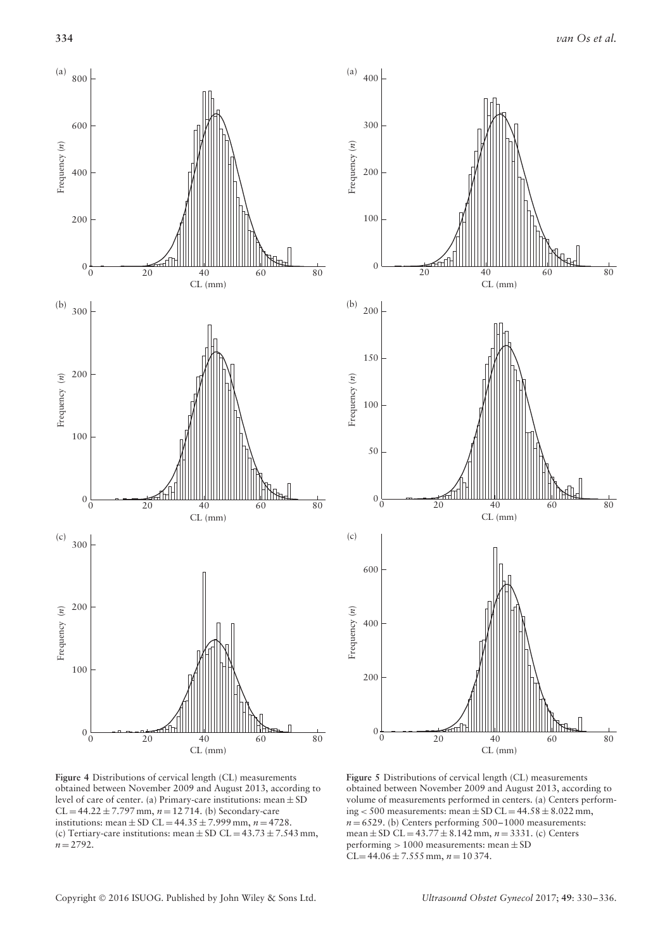

**Figure 4** Distributions of cervical length (CL) measurements obtained between November 2009 and August 2013, according to level of care of center. (a) Primary-care institutions: mean ± SD  $CL = 44.22 \pm 7.797$  mm,  $n = 12714$ . (b) Secondary-care institutions: mean  $\pm$  SD CL = 44.35  $\pm$  7.999 mm, *n* = 4728. (c) Tertiary-care institutions: mean  $\pm$  SD CL = 43.73  $\pm$  7.543 mm,  $n = 2792$ .



**Figure 5** Distributions of cervical length (CL) measurements obtained between November 2009 and August 2013, according to volume of measurements performed in centers. (a) Centers performing  $<$  500 measurements: mean  $\pm$  SD CL = 44.58  $\pm$  8.022 mm,  $n = 6529$ . (b) Centers performing  $500-1000$  measurements: mean  $\pm$  SD CL = 43.77  $\pm$  8.142 mm,  $n = 3331$ . (c) Centers performing *>* 1000 measurements: mean ± SD  $CL = 44.06 \pm 7.555$  mm,  $n = 10374$ .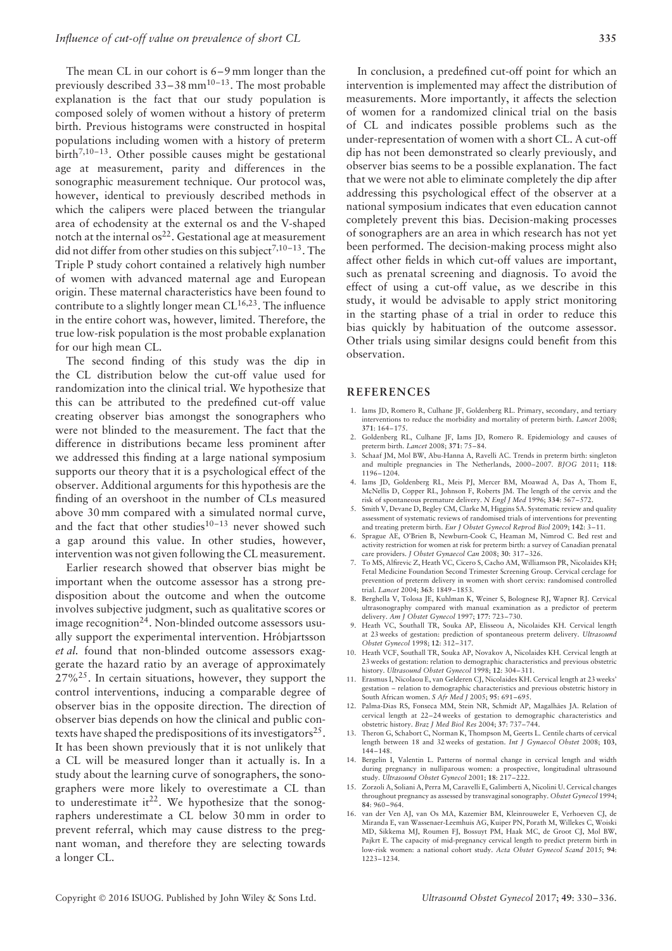The mean CL in our cohort is 6–9 mm longer than the previously described  $33-38$  mm<sup>10-13</sup>. The most probable explanation is the fact that our study population is composed solely of women without a history of preterm birth. Previous histograms were constructed in hospital populations including women with a history of preterm birth<sup>7,10-13</sup>. Other possible causes might be gestational age at measurement, parity and differences in the sonographic measurement technique. Our protocol was, however, identical to previously described methods in which the calipers were placed between the triangular area of echodensity at the external os and the V-shaped notch at the internal os<sup>22</sup>. Gestational age at measurement did not differ from other studies on this subject<sup>7,10–13</sup>. The Triple P study cohort contained a relatively high number of women with advanced maternal age and European origin. These maternal characteristics have been found to contribute to a slightly longer mean  $CL^{16,23}$ . The influence in the entire cohort was, however, limited. Therefore, the true low-risk population is the most probable explanation for our high mean CL.

The second finding of this study was the dip in the CL distribution below the cut-off value used for randomization into the clinical trial. We hypothesize that this can be attributed to the predefined cut-off value creating observer bias amongst the sonographers who were not blinded to the measurement. The fact that the difference in distributions became less prominent after we addressed this finding at a large national symposium supports our theory that it is a psychological effect of the observer. Additional arguments for this hypothesis are the finding of an overshoot in the number of CLs measured above 30 mm compared with a simulated normal curve, and the fact that other studies $10^{-13}$  never showed such a gap around this value. In other studies, however, intervention was not given following the CL measurement.

Earlier research showed that observer bias might be important when the outcome assessor has a strong predisposition about the outcome and when the outcome involves subjective judgment, such as qualitative scores or image recognition<sup>24</sup>. Non-blinded outcome assessors usually support the experimental intervention. Hróbjartsson *et al.* found that non-blinded outcome assessors exaggerate the hazard ratio by an average of approximately  $27\%$ <sup>25</sup>. In certain situations, however, they support the control interventions, inducing a comparable degree of observer bias in the opposite direction. The direction of observer bias depends on how the clinical and public contexts have shaped the predispositions of its investigators $^{25}$ . It has been shown previously that it is not unlikely that a CL will be measured longer than it actually is. In a study about the learning curve of sonographers, the sonographers were more likely to overestimate a CL than to underestimate it<sup>22</sup>. We hypothesize that the sonographers underestimate a CL below 30 mm in order to prevent referral, which may cause distress to the pregnant woman, and therefore they are selecting towards a longer CL.

In conclusion, a predefined cut-off point for which an intervention is implemented may affect the distribution of measurements. More importantly, it affects the selection of women for a randomized clinical trial on the basis of CL and indicates possible problems such as the under-representation of women with a short CL. A cut-off dip has not been demonstrated so clearly previously, and observer bias seems to be a possible explanation. The fact that we were not able to eliminate completely the dip after addressing this psychological effect of the observer at a national symposium indicates that even education cannot completely prevent this bias. Decision-making processes of sonographers are an area in which research has not yet been performed. The decision-making process might also affect other fields in which cut-off values are important, such as prenatal screening and diagnosis. To avoid the effect of using a cut-off value, as we describe in this study, it would be advisable to apply strict monitoring in the starting phase of a trial in order to reduce this bias quickly by habituation of the outcome assessor. Other trials using similar designs could benefit from this observation.

#### **REFERENCES**

- 1. Iams JD, Romero R, Culhane JF, Goldenberg RL. Primary, secondary, and tertiary interventions to reduce the morbidity and mortality of preterm birth. *Lancet* 2008; **371**: 164–175.
- 2. Goldenberg RL, Culhane JF, Iams JD, Romero R. Epidemiology and causes of preterm birth. *Lancet* 2008; **371**: 75–84.
- 3. Schaaf JM, Mol BW, Abu-Hanna A, Ravelli AC. Trends in preterm birth: singleton and multiple pregnancies in The Netherlands, 2000–2007. *BJOG* 2011; **118**: 1196–1204.
- 4. Iams JD, Goldenberg RL, Meis PJ, Mercer BM, Moawad A, Das A, Thom E, McNellis D, Copper RL, Johnson F, Roberts JM. The length of the cervix and the risk of spontaneous premature delivery. *N Engl J Med* 1996; **334**: 567–572.
- 5. Smith V, Devane D, Begley CM, Clarke M, Higgins SA. Systematic review and quality assessment of systematic reviews of randomised trials of interventions for preventing and treating preterm birth. *Eur J Obstet Gynecol Reprod Biol* 2009; **142**: 3–11.
- 6. Sprague AE, O'Brien B, Newburn-Cook C, Heaman M, Nimrod C. Bed rest and activity restriction for women at risk for preterm birth: a survey of Canadian prenatal care providers. *J Obstet Gynaecol Can* 2008; **30**: 317–326.
- 7. To MS, Alfirevic Z, Heath VC, Cicero S, Cacho AM, Williamson PR, Nicolaides KH; Fetal Medicine Foundation Second Trimester Screening Group. Cervical cerclage for prevention of preterm delivery in women with short cervix: randomised controlled trial. *Lancet* 2004; **363**: 1849–1853.
- 8. Berghella V, Tolosa JE, Kuhlman K, Weiner S, Bolognese RJ, Wapner RJ. Cervical ultrasonography compared with manual examination as a predictor of preterm delivery. *Am J Obstet Gynecol* 1997; **177**: 723–730.
- 9. Heath VC, Southall TR, Souka AP, Elisseou A, Nicolaides KH. Cervical length at 23 weeks of gestation: prediction of spontaneous preterm delivery. *Ultrasound Obstet Gynecol* 1998; **12**: 312–317.
- 10. Heath VCF, Southall TR, Souka AP, Novakov A, Nicolaides KH. Cervical length at 23 weeks of gestation: relation to demographic characteristics and previous obstetric history. *Ultrasound Obstet Gynecol* 1998; **12**: 304–311.
- 11. Erasmus I, Nicolaou E, van Gelderen CJ, Nicolaides KH. Cervical length at 23 weeks' gestation – relation to demographic characteristics and previous obstetric history in South African women. *S Afr Med J* 2005; **95**: 691–695.
- 12. Palma-Dias RS, Fonseca MM, Stein NR, Schmidt AP, Magalhães JA. Relation of cervical length at 22–24 weeks of gestation to demographic characteristics and obstetric history. *Braz J Med Biol Res* 2004; **37**: 737–744.
- 13. Theron G, Schabort C, Norman K, Thompson M, Geerts L. Centile charts of cervical length between 18 and 32 weeks of gestation. *Int J Gynaecol Obstet* 2008; **103**, 144–148.
- 14. Bergelin I, Valentin L. Patterns of normal change in cervical length and width during pregnancy in nulliparous women: a prospective, longitudinal ultrasound study. *Ultrasound Obstet Gynecol* 2001; **18**: 217–222.
- 15. Zorzoli A, Soliani A, Perra M, Caravelli E, Galimberti A, Nicolini U. Cervical changes throughout pregnancy as assessed by transvaginal sonography. *Obstet Gynecol* 1994; **84**: 960–964.
- 16. van der Ven AJ, van Os MA, Kazemier BM, Kleinrouweler E, Verhoeven CJ, de Miranda E, van Wassenaer-Leemhuis AG, Kuiper PN, Porath M, Willekes C, Woiski MD, Sikkema MJ, Roumen FJ, Bossuyt PM, Haak MC, de Groot CJ, Mol BW, Pajkrt E. The capacity of mid-pregnancy cervical length to predict preterm birth in low-risk women: a national cohort study. *Acta Obstet Gynecol Scand* 2015; **94**: 1223–1234.